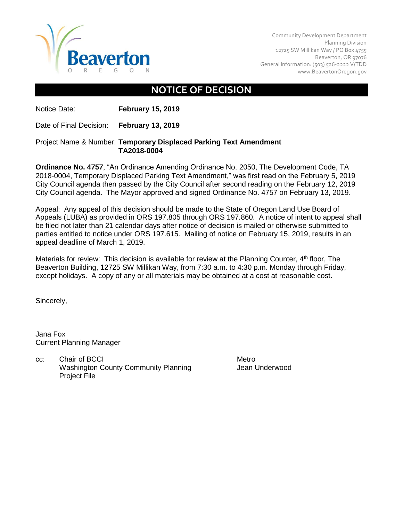

Community Development Department Planning Division 12725 SW Millikan Way / PO Box 4755 Beaverton, OR 97076 General Information: (503) 526-2222 V/TDD [www.BeavertonOregon.gov](http://www.beavertonoregon.gov/)

## **NOTICE OF DECISION**

Notice Date: **February 15, 2019**

Date of Final Decision: **February 13, 2019**

## Project Name & Number: **Temporary Displaced Parking Text Amendment TA2018-0004**

**Ordinance No. 4757**, "An Ordinance Amending Ordinance No. 2050, The Development Code, TA 2018-0004, Temporary Displaced Parking Text Amendment," was first read on the February 5, 2019 City Council agenda then passed by the City Council after second reading on the February 12, 2019 City Council agenda. The Mayor approved and signed Ordinance No. 4757 on February 13, 2019.

Appeal: Any appeal of this decision should be made to the State of Oregon Land Use Board of Appeals (LUBA) as provided in ORS 197.805 through ORS 197.860. A notice of intent to appeal shall be filed not later than 21 calendar days after notice of decision is mailed or otherwise submitted to parties entitled to notice under ORS 197.615. Mailing of notice on February 15, 2019, results in an appeal deadline of March 1, 2019.

Materials for review: This decision is available for review at the Planning Counter,  $4<sup>th</sup>$  floor, The Beaverton Building, 12725 SW Millikan Way, from 7:30 a.m. to 4:30 p.m. Monday through Friday, except holidays. A copy of any or all materials may be obtained at a cost at reasonable cost.

Sincerely,

Jana Fox Current Planning Manager

cc: Chair of BCCI Metro Washington County Community Planning Theory Jean Underwood Project File